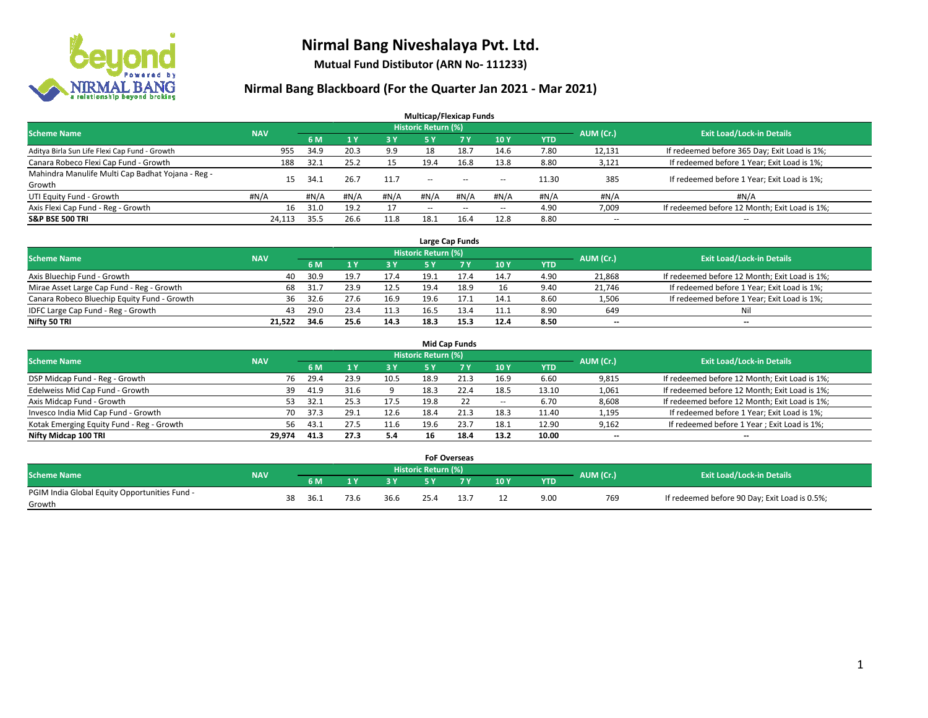

**Mutual Fund Distibutor (ARN No- 111233)**

| <b>Multicap/Flexicap Funds</b>                    |                 |         |                |       |                            |           |        |            |                          |                                               |  |  |  |
|---------------------------------------------------|-----------------|---------|----------------|-------|----------------------------|-----------|--------|------------|--------------------------|-----------------------------------------------|--|--|--|
| <b>Scheme Name</b>                                | <b>NAV</b>      |         |                |       | <b>Historic Return (%)</b> |           |        |            | AUM (Cr.)                | <b>Exit Load/Lock-in Details</b>              |  |  |  |
|                                                   |                 | 6 M     | 4 <sub>Y</sub> | $-3V$ | 5 Y                        | <b>7Y</b> | 10Y    | <b>YTD</b> |                          |                                               |  |  |  |
| Aditya Birla Sun Life Flexi Cap Fund - Growth     | 955             | 34.9    | 20.3           | 9.9   | 18                         | 18.7      | 14.6   | 7.80       | 12,131                   | If redeemed before 365 Day; Exit Load is 1%;  |  |  |  |
| Canara Robeco Flexi Cap Fund - Growth             | 188             | 32.1    | 25.2           | 15    | 19.4                       | 16.8      | 13.8   | 8.80       | 3,121                    | If redeemed before 1 Year; Exit Load is 1%;   |  |  |  |
| Mahindra Manulife Multi Cap Badhat Yojana - Reg - | 15 <sub>1</sub> | 34.1    | 26.7           | 11.7  | $\sim$ $\sim$              |           |        | 11.30      | 385                      | If redeemed before 1 Year; Exit Load is 1%;   |  |  |  |
| Growth                                            |                 |         |                |       |                            | $-$       | $\sim$ |            |                          |                                               |  |  |  |
| UTI Equity Fund - Growth                          | #N/A            | # $N/A$ | #N/A           | #N/A  | #N/A                       | #N/A      | #N/A   | #N/A       | #N/A                     | #N/A                                          |  |  |  |
| Axis Flexi Cap Fund - Reg - Growth                | 16              | 31.0    | 19.2           | 17    | $\overline{\phantom{a}}$   | $\sim$    | $\sim$ | 4.90       | 7,009                    | If redeemed before 12 Month; Exit Load is 1%; |  |  |  |
| <b>S&amp;P BSE 500 TRI</b>                        | 24.113          | 35.5    | 26.6           | 11.8  | 18.1                       | 16.4      | 12.8   | 8.80       | $\overline{\phantom{a}}$ | $- -$                                         |  |  |  |

|                                             |            |      |      |      |                     | Large Cap Funds |      |      |                          |                                               |
|---------------------------------------------|------------|------|------|------|---------------------|-----------------|------|------|--------------------------|-----------------------------------------------|
| <b>Scheme Name</b>                          | <b>NAV</b> |      |      |      | Historic Return (%) |                 |      |      | AUM (Cr.)                | <b>Exit Load/Lock-in Details</b>              |
|                                             |            | 6 M  |      | 3 Y  |                     |                 | 10Y  | YTD  |                          |                                               |
| Axis Bluechip Fund - Growth                 | 40         | 30.9 | 19.7 | 17.4 | 19.1                |                 | 14.7 | 4.90 | 21,868                   | If redeemed before 12 Month; Exit Load is 1%; |
| Mirae Asset Large Cap Fund - Reg - Growth   | 68         | 31.7 | 23.9 | 12.5 | 19.4                | 18.9            | 16   | 9.40 | 21,746                   | If redeemed before 1 Year; Exit Load is 1%;   |
| Canara Robeco Bluechip Equity Fund - Growth | 36         | 32.6 |      | 16.9 | 19.6                |                 | 14.1 | 8.60 | 1,506                    | If redeemed before 1 Year; Exit Load is 1%;   |
| IDFC Large Cap Fund - Reg - Growth          | 43         | 29.0 | 23.4 | 11.3 | 16.5                | 13.4            | 11.1 | 8.90 | 649                      | Nil                                           |
| Nifty 50 TRI                                | 21.522     | 34.6 | 25.6 | 14.3 | 18.3                | 15.3            | 12.4 | 8.50 | $\overline{\phantom{a}}$ | $-$                                           |

| <b>Mid Cap Funds</b>                      |            |             |                                  |           |      |      |            |            |       |                                               |  |  |  |  |
|-------------------------------------------|------------|-------------|----------------------------------|-----------|------|------|------------|------------|-------|-----------------------------------------------|--|--|--|--|
| <b>Scheme Name</b>                        | <b>NAV</b> | AUM (Cr.)   | <b>Exit Load/Lock-in Details</b> |           |      |      |            |            |       |                                               |  |  |  |  |
|                                           |            | 6 M         |                                  | <b>3Y</b> | 5 Y  | 7 Y  | <b>10Y</b> | <b>YTD</b> |       |                                               |  |  |  |  |
| DSP Midcap Fund - Reg - Growth            |            | 29.4<br>76  | 23.9                             | 10.5      | 18.9 | 21.3 | 16.9       | 6.60       | 9,815 | If redeemed before 12 Month; Exit Load is 1%; |  |  |  |  |
| Edelweiss Mid Cap Fund - Growth           |            | 41.9<br>39  | 31.6                             |           | 18.3 | 22.4 | 18.5       | 13.10      | 1,061 | If redeemed before 12 Month; Exit Load is 1%; |  |  |  |  |
| Axis Midcap Fund - Growth                 |            | 32.1<br>53. | 25.3                             | 17.5      | 19.8 | 22   | $\!-$      | 6.70       | 8,608 | If redeemed before 12 Month; Exit Load is 1%; |  |  |  |  |
| Invesco India Mid Cap Fund - Growth       |            | 37.3<br>70  | 29.1                             | 12.6      | 18.4 | 21.3 | 18.3       | 11.40      | 1,195 | If redeemed before 1 Year; Exit Load is 1%;   |  |  |  |  |
| Kotak Emerging Equity Fund - Reg - Growth |            | 56<br>43.1  | 27.5                             | 11.6      | 19.6 | 23.7 | 18.1       | 12.90      | 9,162 | If redeemed before 1 Year; Exit Load is 1%;   |  |  |  |  |
| Nifty Midcap 100 TRI                      | 29.974     | 41.3        | 27.3                             | 5.4       | 16   | 18.4 | 13.2       | 10.00      | --    | $\overline{\phantom{a}}$                      |  |  |  |  |

|                                                         |            |    |      |      | <b>FoF Overseas</b>        |     |     |            |           |                                               |
|---------------------------------------------------------|------------|----|------|------|----------------------------|-----|-----|------------|-----------|-----------------------------------------------|
| Scheme Name                                             | <b>NAV</b> |    |      |      | <b>Historic Return (%)</b> |     |     |            | AUM (Cr.) | <b>Exit Load/Lock-in Details</b>              |
|                                                         |            |    | 6 M  | o v  |                            | 7 V | 10Y | <b>YTD</b> |           |                                               |
| PGIM India Global Equity Opportunities Fund -<br>Growth |            | 38 | 36.1 | 36.6 |                            |     |     | 9.00       | 769       | If redeemed before 90 Day; Exit Load is 0.5%; |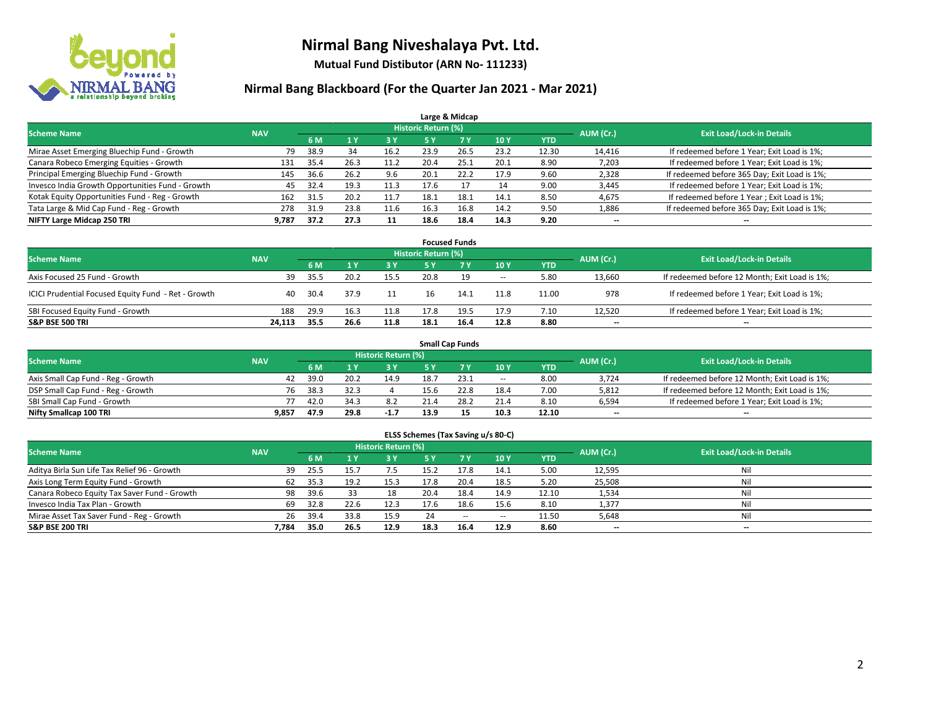

**Mutual Fund Distibutor (ARN No- 111233)**

| Large & Midcap                                   |            |      |      |      |                            |                |      |            |                          |                                              |  |  |  |  |
|--------------------------------------------------|------------|------|------|------|----------------------------|----------------|------|------------|--------------------------|----------------------------------------------|--|--|--|--|
| <b>Scheme Name</b>                               | <b>NAV</b> |      |      |      | <b>Historic Return (%)</b> |                |      |            | AUM (Cr.)                | <b>Exit Load/Lock-in Details</b>             |  |  |  |  |
|                                                  |            | 6 M  |      | 3 Y  | <b>5 Y</b>                 | 7 <sub>V</sub> | 10Y  | <b>YTD</b> |                          |                                              |  |  |  |  |
| Mirae Asset Emerging Bluechip Fund - Growth      | 79         | 38.9 | 34   | 16.2 | 23.9                       | 26.5           | 23.2 | 12.30      | 14,416                   | If redeemed before 1 Year; Exit Load is 1%;  |  |  |  |  |
| Canara Robeco Emerging Equities - Growth         | 131        | 35.4 | 26.3 | 11.2 | 20.4                       | 25.1           | 20.1 | 8.90       | 7,203                    | If redeemed before 1 Year; Exit Load is 1%;  |  |  |  |  |
| Principal Emerging Bluechip Fund - Growth        | 145        | 36.6 | 26.2 | 9.6  | 20.1                       | 22.2           | 17.9 | 9.60       | 2,328                    | If redeemed before 365 Day; Exit Load is 1%; |  |  |  |  |
| Invesco India Growth Opportunities Fund - Growth | 45         | 32.4 | 19.3 | 11.3 | 17.6                       |                | 14   | 9.00       | 3,445                    | If redeemed before 1 Year; Exit Load is 1%;  |  |  |  |  |
| Kotak Equity Opportunities Fund - Reg - Growth   | 162        | 31.5 | 20.2 | 11.7 | 18.1                       | 18.1           | 14.1 | 8.50       | 4,675                    | If redeemed before 1 Year; Exit Load is 1%;  |  |  |  |  |
| Tata Large & Mid Cap Fund - Reg - Growth         | 278        | 31.9 | 23.8 | 11.6 | 16.3                       | 16.8           | 14.2 | 9.50       | 1,886                    | If redeemed before 365 Day; Exit Load is 1%; |  |  |  |  |
| NIFTY Large Midcap 250 TRI                       | 9.787      | 37.2 | 27.3 | 11   | 18.6                       | 18.4           | 14.3 | 9.20       | $\overline{\phantom{a}}$ | --                                           |  |  |  |  |

|                                                     |            |      |      |            |                     | <b>Focused Funds</b> |        |            |           |                                               |
|-----------------------------------------------------|------------|------|------|------------|---------------------|----------------------|--------|------------|-----------|-----------------------------------------------|
| <b>Scheme Name</b>                                  | <b>NAV</b> |      |      |            | Historic Return (%) |                      |        |            | AUM (Cr.) | <b>Exit Load/Lock-in Details</b>              |
|                                                     |            | 6 M  |      | <b>3 Y</b> | 5 Y                 |                      | 10Y    | <b>YTD</b> |           |                                               |
| Axis Focused 25 Fund - Growth                       | 39         | 35.5 | 20.2 | 15.5       | 20.8                | 19                   | $\sim$ | 5.80       | 13,660    | If redeemed before 12 Month; Exit Load is 1%; |
| ICICI Prudential Focused Equity Fund - Ret - Growth | 40         | 30.4 | 37.9 | 11         | 16                  | 14.1                 | 11.8   | 11.00      | 978       | If redeemed before 1 Year; Exit Load is 1%;   |
| SBI Focused Equity Fund - Growth                    | 188        | 29.9 | 16.3 | 11.8       | 17.8                | 19.5                 | 17.9   | 7.10       | 12.520    | If redeemed before 1 Year; Exit Load is 1%;   |
| <b>S&amp;P BSE 500 TRI</b>                          | 24.113     | 35.5 | 26.6 | 11.8       | 18.1                | 16.4                 | 12.8   | 8.80       | $- -$     | $\overline{\phantom{a}}$                      |

| <b>Small Cap Funds</b>             |            |      |      |                            |      |      |                          |            |           |                                               |  |  |  |
|------------------------------------|------------|------|------|----------------------------|------|------|--------------------------|------------|-----------|-----------------------------------------------|--|--|--|
| <b>Scheme Name</b>                 | <b>NAV</b> |      |      | <b>Historic Return (%)</b> |      |      |                          |            | AUM (Cr.) | <b>Exit Load/Lock-in Details</b>              |  |  |  |
|                                    |            | 6 M  |      | 73 Y.                      |      |      | 10Y                      | <b>YTD</b> |           |                                               |  |  |  |
| Axis Small Cap Fund - Reg - Growth | 42         | 39.0 | 20.2 | 14.9                       | 18.7 | 23.1 | $\overline{\phantom{a}}$ | 8.00       | 3.724     | If redeemed before 12 Month; Exit Load is 1%; |  |  |  |
| DSP Small Cap Fund - Reg - Growth  | 76         | 38.3 | 32.3 |                            | 15.6 | 22.8 | 18.4                     | 7.00       | 5,812     | If redeemed before 12 Month; Exit Load is 1%; |  |  |  |
| SBI Small Cap Fund - Growth        |            | 42.0 | 34.3 |                            |      | 28.2 | 21.4                     | 8.10       | 6,594     | If redeemed before 1 Year; Exit Load is 1%;   |  |  |  |
| Nifty Smallcap 100 TRI             | 9.857      | 47.9 | 29.8 | $-1.7$                     | 13.9 |      | 10.3                     | 12.10      | $- -$     | $\overline{\phantom{a}}$                      |  |  |  |

| ELSS Schemes (Tax Saving u/s 80-C)           |            |                                  |      |      |           |        |            |            |        |     |  |  |  |
|----------------------------------------------|------------|----------------------------------|------|------|-----------|--------|------------|------------|--------|-----|--|--|--|
| <b>Scheme Name</b>                           | AUM (Cr.)  | <b>Exit Load/Lock-in Details</b> |      |      |           |        |            |            |        |     |  |  |  |
|                                              | <b>NAV</b> | 6 M                              | 71 Y | 3 Y  | <b>5Y</b> | 7V     | <b>10Y</b> | <b>YTD</b> |        |     |  |  |  |
| Aditya Birla Sun Life Tax Relief 96 - Growth | 39         | 25.5                             | 15.  | 7.5  | 15.2      | 17.8   | 14.1       | 5.00       | 12,595 | Nil |  |  |  |
| Axis Long Term Equity Fund - Growth          | 62         | 35.3                             | 19.2 | 15.3 | 17.8      | 20.4   | 18.5       | 5.20       | 25,508 | Nil |  |  |  |
| Canara Robeco Equity Tax Saver Fund - Growth | 98         | 39.6                             | 33   | 18   | 20.4      | 18.4   | 14.9       | 12.10      | 1,534  | Nil |  |  |  |
| Invesco India Tax Plan - Growth              | 69         | 32.8                             | 22.6 | 12.3 | 17.6      | 18.6   | 15.6       | 8.10       | 1,377  | Nil |  |  |  |
| Mirae Asset Tax Saver Fund - Reg - Growth    | 26         | 39.4                             | 33.8 | 15.9 | 24        | $\sim$ | $\sim$     | 11.50      | 5,648  | Nil |  |  |  |
| S&P BSE 200 TRI                              | 7,784      | 35.0                             | 26.5 | 12.9 | 18.3      | 16.4   | 12.9       | 8.60       | $- -$  | $-$ |  |  |  |
|                                              |            |                                  |      |      |           |        |            |            |        |     |  |  |  |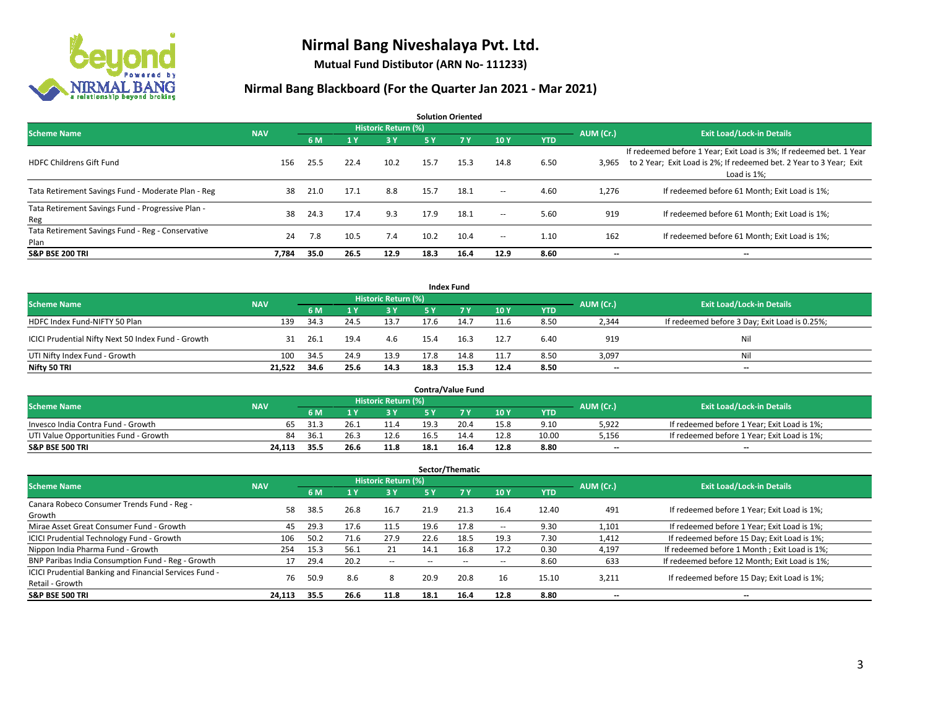

**Mutual Fund Distibutor (ARN No- 111233)**

| <b>Solution Oriented</b>                                  |            |      |      |                            |      |            |               |            |           |                                                                                                                                                           |  |  |  |
|-----------------------------------------------------------|------------|------|------|----------------------------|------|------------|---------------|------------|-----------|-----------------------------------------------------------------------------------------------------------------------------------------------------------|--|--|--|
| <b>Scheme Name</b>                                        | <b>NAV</b> |      |      | <b>Historic Return (%)</b> |      |            |               |            | AUM (Cr.) | <b>Exit Load/Lock-in Details</b>                                                                                                                          |  |  |  |
|                                                           |            | 6 M  | 1 Y  | 3 Y                        | 5 Y  | <b>7 Y</b> | 10Y           | <b>YTD</b> |           |                                                                                                                                                           |  |  |  |
| <b>HDFC Childrens Gift Fund</b>                           | 156        | 25.5 | 22.4 | 10.2                       | 15.7 | 15.3       | 14.8          | 6.50       | 3,965     | If redeemed before 1 Year; Exit Load is 3%; If redeemed bet. 1 Year<br>to 2 Year; Exit Load is 2%; If redeemed bet. 2 Year to 3 Year; Exit<br>Load is 1%: |  |  |  |
| Tata Retirement Savings Fund - Moderate Plan - Reg        | 38         | 21.0 | 17.1 | 8.8                        | 15.7 | 18.1       | $\sim$ $\sim$ | 4.60       | 1,276     | If redeemed before 61 Month; Exit Load is 1%;                                                                                                             |  |  |  |
| Tata Retirement Savings Fund - Progressive Plan -<br>Reg  | 38         | 24.3 | 17.4 | 9.3                        | 17.9 | 18.1       | $ -$          | 5.60       | 919       | If redeemed before 61 Month; Exit Load is 1%;                                                                                                             |  |  |  |
| Tata Retirement Savings Fund - Reg - Conservative<br>Plan | 24         | 7.8  | 10.5 | 7.4                        | 10.2 | 10.4       | $\!-$         | 1.10       | 162       | If redeemed before 61 Month; Exit Load is 1%;                                                                                                             |  |  |  |
| <b>S&amp;P BSE 200 TRI</b>                                | 7.784      | 35.0 | 26.5 | 12.9                       | 18.3 | 16.4       | 12.9          | 8.60       | --        | --                                                                                                                                                        |  |  |  |

| <b>Index Fund</b>                                  |            |       |      |                     |           |       |      |            |           |                                               |  |  |  |
|----------------------------------------------------|------------|-------|------|---------------------|-----------|-------|------|------------|-----------|-----------------------------------------------|--|--|--|
| <b>Scheme Name</b>                                 | <b>NAV</b> |       |      | Historic Return (%) |           |       |      |            | AUM (Cr.) | <b>Exit Load/Lock-in Details</b>              |  |  |  |
|                                                    |            | 6 M   |      | <b>3Y</b>           | <b>5Y</b> | 7 Y Y | 10Y  | <b>YTD</b> |           |                                               |  |  |  |
| HDFC Index Fund-NIFTY 50 Plan                      | 139        | -34.3 | 24.5 | 13.7                | 17.6      | 14.7  | 11.6 | 8.50       | 2,344     | If redeemed before 3 Day; Exit Load is 0.25%; |  |  |  |
| ICICI Prudential Nifty Next 50 Index Fund - Growth | 31         | -26.1 | 19.4 | 4.6                 | 15.4      | 16.3  | 12.7 | 6.40       | 919       | Nil                                           |  |  |  |
| UTI Nifty Index Fund - Growth                      | 100        | 34.5  | 24.9 | 13.9                | 17.8      | 14.8  | 11.7 | 8.50       | 3,097     | Nil                                           |  |  |  |
| Nifty 50 TRI                                       | 21.522     | 34.6  | 25.6 | 14.3                | 18.3      | 15.3  | 12.4 | 8.50       | $- -$     | $\overline{\phantom{a}}$                      |  |  |  |

|                                       |            |      |      |                     |      | <b>Contra/Value Fund</b> |      |       |           |                                             |
|---------------------------------------|------------|------|------|---------------------|------|--------------------------|------|-------|-----------|---------------------------------------------|
| <b>Scheme Name</b>                    | <b>NAV</b> |      |      | Historic Return (%) |      |                          |      |       | AUM (Cr.) | <b>Exit Load/Lock-in Details</b>            |
|                                       |            | 6 M  |      | 3 Y                 |      |                          | 10Y  | YTD   |           |                                             |
| Invesco India Contra Fund - Growth    | 65         | 31.3 | 26.  | 11.4                | 19.3 | 20.4                     | 15.8 | 9.10  | 5,922     | If redeemed before 1 Year; Exit Load is 1%; |
| UTI Value Opportunities Fund - Growth | 84         | 36.1 | 26.3 | 12.6                | 16.5 | 14.4                     | 12.8 | 10.00 | 5,156     | If redeemed before 1 Year; Exit Load is 1%; |
| <b>S&amp;P BSE 500 TRI</b>            | 24.113     | 35.5 | 26.6 | 11.8                | 18.1 | 16.4                     | 12.8 | 8.80  | $- -$     | $\overline{\phantom{a}}$                    |

|                                                                           |            |      |      |                            |      | Sector/Thematic |      |            |           |                                               |
|---------------------------------------------------------------------------|------------|------|------|----------------------------|------|-----------------|------|------------|-----------|-----------------------------------------------|
| <b>Scheme Name</b>                                                        | <b>NAV</b> |      |      | <b>Historic Return (%)</b> |      |                 |      |            | AUM (Cr.) | <b>Exit Load/Lock-in Details</b>              |
|                                                                           |            | 6 M  | 4v   | 3 Y                        | 5 Y  | 7Y              | 10Y  | <b>YTD</b> |           |                                               |
| Canara Robeco Consumer Trends Fund - Reg -<br>Growth                      | 58         | 38.5 | 26.8 | 16.7                       | 21.9 | 21.3            | 16.4 | 12.40      | 491       | If redeemed before 1 Year; Exit Load is 1%;   |
| Mirae Asset Great Consumer Fund - Growth                                  | 45         | 29.3 | 17.6 | 11.5                       | 19.6 | 17.8            | --   | 9.30       | 1,101     | If redeemed before 1 Year; Exit Load is 1%;   |
| <b>ICICI Prudential Technology Fund - Growth</b>                          | 106        | 50.2 | 71.6 | 27.9                       | 22.6 | 18.5            | 19.3 | 7.30       | 1,412     | If redeemed before 15 Day; Exit Load is 1%;   |
| Nippon India Pharma Fund - Growth                                         | 254        | 15.3 | 56.1 | 21                         | 14.1 | 16.8            | 17.2 | 0.30       | 4.197     | If redeemed before 1 Month; Exit Load is 1%;  |
| BNP Paribas India Consumption Fund - Reg - Growth                         |            | 29.4 | 20.2 | $\overline{\phantom{a}}$   |      |                 | --   | 8.60       | 633       | If redeemed before 12 Month; Exit Load is 1%; |
| ICICI Prudential Banking and Financial Services Fund -<br>Retail - Growth | 76         | 50.9 | 8.6  | 8                          | 20.9 | 20.8            | 16   | 15.10      | 3,211     | If redeemed before 15 Day; Exit Load is 1%;   |
| <b>S&amp;P BSE 500 TRI</b>                                                | 24,113     | 35.5 | 26.6 | 11.8                       | 18.1 | 16.4            | 12.8 | 8.80       | --        | --                                            |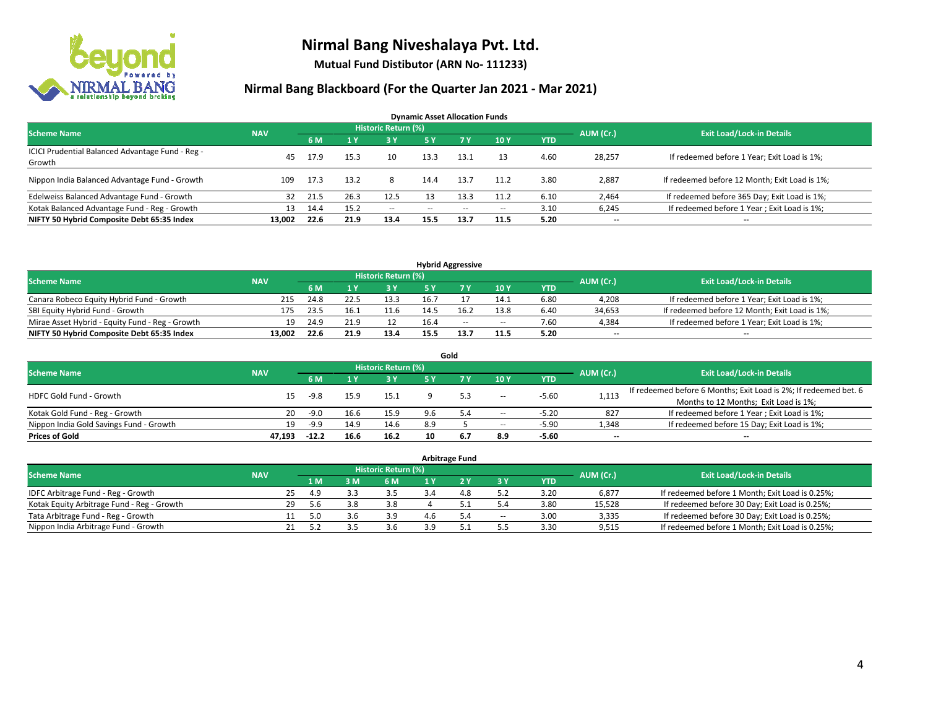

**Mutual Fund Distibutor (ARN No- 111233)**

| <b>Dynamic Asset Allocation Funds</b>                      |            |      |      |                            |            |                          |       |            |           |                                               |  |  |  |
|------------------------------------------------------------|------------|------|------|----------------------------|------------|--------------------------|-------|------------|-----------|-----------------------------------------------|--|--|--|
| <b>Scheme Name</b>                                         | <b>NAV</b> |      |      | <b>Historic Return (%)</b> |            |                          |       |            | AUM (Cr.) | <b>Exit Load/Lock-in Details</b>              |  |  |  |
|                                                            |            | 6 M  |      | 3 Y                        | <b>5 Y</b> | 7 Y                      | 10Y   | <b>YTD</b> |           |                                               |  |  |  |
| ICICI Prudential Balanced Advantage Fund - Reg -<br>Growth | 45         | 17.9 | 15.3 | 10                         | 13.3       | 13.1                     | 13    | 4.60       | 28,257    | If redeemed before 1 Year; Exit Load is 1%;   |  |  |  |
| Nippon India Balanced Advantage Fund - Growth              | 109        | 17.3 | 13.2 | 8                          | 14.4       | 13.7                     | 11.2  | 3.80       | 2,887     | If redeemed before 12 Month; Exit Load is 1%; |  |  |  |
| Edelweiss Balanced Advantage Fund - Growth                 | 32         | 21.5 | 26.3 | 12.5                       |            | 13.3                     | 11.2  | 6.10       | 2,464     | If redeemed before 365 Day; Exit Load is 1%;  |  |  |  |
| Kotak Balanced Advantage Fund - Reg - Growth               | 13         | 14.4 | 15.2 | $- -$                      | --         | $\overline{\phantom{a}}$ | $\!-$ | 3.10       | 6,245     | If redeemed before 1 Year; Exit Load is 1%;   |  |  |  |
| NIFTY 50 Hybrid Composite Debt 65:35 Index                 | 13.002     | 22.6 | 21.9 | 13.4                       | 15.5       | 13.7                     | 11.5  | 5.20       | --        | --                                            |  |  |  |

| <b>Hybrid Aggressive</b>                        |            |      |      |                            |      |      |        |            |           |                                               |  |  |  |
|-------------------------------------------------|------------|------|------|----------------------------|------|------|--------|------------|-----------|-----------------------------------------------|--|--|--|
| <b>Scheme Name</b>                              | <b>NAV</b> |      |      | <b>Historic Return (%)</b> |      |      |        |            | AUM (Cr.) | <b>Exit Load/Lock-in Details</b>              |  |  |  |
|                                                 |            | 6 M  |      | 2 V                        |      |      | 10Y    | <b>YTD</b> |           |                                               |  |  |  |
| Canara Robeco Equity Hybrid Fund - Growth       | 215        | 24.8 |      | 13.3                       |      |      | 14.1   | 6.80       | 4,208     | If redeemed before 1 Year; Exit Load is 1%;   |  |  |  |
| SBI Equity Hybrid Fund - Growth                 | 175        | 23.5 | 16.1 | 11.6                       | 14.5 |      | 13.8   | 6.40       | 34,653    | If redeemed before 12 Month; Exit Load is 1%; |  |  |  |
| Mirae Asset Hybrid - Equity Fund - Reg - Growth | 19         | 24.9 |      |                            | 16.4 | $-$  | $\sim$ | 7.60       | 4.384     | If redeemed before 1 Year; Exit Load is 1%;   |  |  |  |
| NIFTY 50 Hybrid Composite Debt 65:35 Index      | 13.002     | 22.6 | 21.9 | 13.4                       | 15.5 | 13.7 | 11.5   | 5.20       | $-$       | $-$                                           |  |  |  |

| Gold                                    |            |         |      |                     |     |     |                          |            |           |                                                                  |  |  |  |  |
|-----------------------------------------|------------|---------|------|---------------------|-----|-----|--------------------------|------------|-----------|------------------------------------------------------------------|--|--|--|--|
| <b>Scheme Name</b>                      | <b>NAV</b> |         |      | Historic Return (%) |     |     |                          |            | AUM (Cr.) | <b>Exit Load/Lock-in Details</b>                                 |  |  |  |  |
|                                         |            | 6 M     |      | 73 Y.               | 5 Y |     | 10Y                      | <b>YTD</b> |           |                                                                  |  |  |  |  |
| HDFC Gold Fund - Growth                 | 15         | $-9.8$  | 15.9 | 15.1                |     |     | $\overline{\phantom{a}}$ | $-5.60$    | 1,113     | If redeemed before 6 Months; Exit Load is 2%; If redeemed bet. 6 |  |  |  |  |
|                                         |            |         |      |                     |     |     |                          |            |           | Months to 12 Months; Exit Load is 1%;                            |  |  |  |  |
| Kotak Gold Fund - Reg - Growth          | 20         | $-9.0$  | 16.6 | 15.9                | 9.6 |     | $\!-$                    | $-5.20$    | 827       | If redeemed before 1 Year; Exit Load is 1%;                      |  |  |  |  |
| Nippon India Gold Savings Fund - Growth | 19         | $-9.9$  | 14.9 | 14.6                | 8.9 |     | $\!-$                    | $-5.90$    | 1,348     | If redeemed before 15 Day; Exit Load is 1%;                      |  |  |  |  |
| <b>Prices of Gold</b>                   | 47.193     | $-12.2$ | 16.6 | 16.2                | 10  | 6.7 | 8.9                      | $-5.60$    | --        | $- -$                                                            |  |  |  |  |

| <b>Arbitrage Fund</b>                      |            |    |                  |                                  |     |  |     |        |            |        |                                                 |  |  |  |
|--------------------------------------------|------------|----|------------------|----------------------------------|-----|--|-----|--------|------------|--------|-------------------------------------------------|--|--|--|
| <b>Scheme Name</b>                         | <b>NAV</b> |    | AUM (Cr.)        | <b>Exit Load/Lock-in Details</b> |     |  |     |        |            |        |                                                 |  |  |  |
|                                            |            |    | $\overline{1}$ M | 3 M                              | 6 M |  |     | 3 Y    | <b>YTD</b> |        |                                                 |  |  |  |
| IDFC Arbitrage Fund - Reg - Growth         |            | 25 | 4.9              |                                  | 3.5 |  | 4.8 |        | 3.20       | 6,877  | If redeemed before 1 Month; Exit Load is 0.25%; |  |  |  |
| Kotak Equity Arbitrage Fund - Reg - Growth |            | 29 | 5.6              | 3.8                              | 3.8 |  | 51  | 5.4    | 3.80       | 15.528 | If redeemed before 30 Day; Exit Load is 0.25%;  |  |  |  |
| Tata Arbitrage Fund - Reg - Growth         |            |    | 5.0              | 3.6                              | 3.9 |  | 5.4 | $\sim$ | 3.00       | 3,335  | If redeemed before 30 Day; Exit Load is 0.25%;  |  |  |  |
| Nippon India Arbitrage Fund - Growth       |            | 21 | 57               |                                  | 3.6 |  | 51  |        | 3.30       | 9,515  | If redeemed before 1 Month; Exit Load is 0.25%; |  |  |  |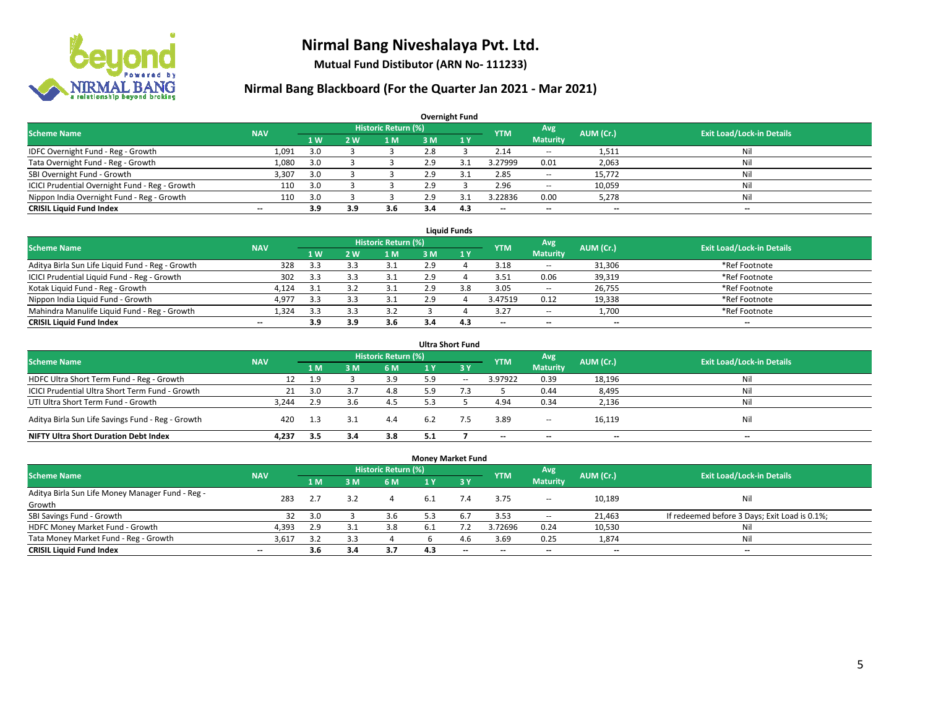

**Mutual Fund Distibutor (ARN No- 111233)**

| <b>Overnight Fund</b>                          |            |                  |     |                     |     |              |                          |                          |           |                                  |  |  |  |  |
|------------------------------------------------|------------|------------------|-----|---------------------|-----|--------------|--------------------------|--------------------------|-----------|----------------------------------|--|--|--|--|
| <b>Scheme Name</b>                             | <b>NAV</b> |                  |     | Historic Return (%) |     |              | <b>YTM</b>               | Avg                      | AUM (Cr.) | <b>Exit Load/Lock-in Details</b> |  |  |  |  |
|                                                |            | $\overline{1}$ W | 2 W | 1 M                 | 3 M | $\sqrt{1}$ Y |                          | <b>Maturity</b>          |           |                                  |  |  |  |  |
| IDFC Overnight Fund - Reg - Growth             | 1,091      | 3.0              |     |                     | 2.8 |              | 2.14                     | $\overline{\phantom{a}}$ | 1,511     | Nil                              |  |  |  |  |
| Tata Overnight Fund - Reg - Growth             | 1,080      | 3.0              |     |                     | 2.9 | 3.1          | 3.27999                  | 0.01                     | 2,063     | Nil                              |  |  |  |  |
| SBI Overnight Fund - Growth                    | 3,307      | 3.0              |     |                     | 2.9 | 3.1          | 2.85                     | $\overline{\phantom{a}}$ | 15,772    | Nil                              |  |  |  |  |
| ICICI Prudential Overnight Fund - Reg - Growth | 110        | 3.0              |     |                     | 2.9 |              | 2.96                     | $\hspace{0.05cm} \ldots$ | 10,059    | Nil                              |  |  |  |  |
| Nippon India Overnight Fund - Reg - Growth     | 110        | 3.0              |     |                     | 2.9 |              | 3.22836                  | 0.00                     | 5,278     | Nil                              |  |  |  |  |
| <b>CRISIL Liquid Fund Index</b>                | $- -$      | 3.9              | 3.9 | 3.6                 | 3.4 | 4.3          | $\overline{\phantom{a}}$ | --                       | $- -$     | $\overline{\phantom{a}}$         |  |  |  |  |

| <b>Liquid Funds</b>                              |            |     |     |                            |     |     |                          |                          |           |                                  |  |  |  |
|--------------------------------------------------|------------|-----|-----|----------------------------|-----|-----|--------------------------|--------------------------|-----------|----------------------------------|--|--|--|
| <b>Scheme Name</b>                               | <b>NAV</b> |     |     | <b>Historic Return (%)</b> |     |     | <b>YTM</b>               | Avg                      | AUM (Cr.) | <b>Exit Load/Lock-in Details</b> |  |  |  |
|                                                  |            | 1W  | 2 W | 1 M                        | з м |     |                          | <b>Maturity</b>          |           |                                  |  |  |  |
| Aditya Birla Sun Life Liquid Fund - Reg - Growth | 328        | 3.3 |     |                            | 2.9 |     | 3.18                     | $\sim$                   | 31,306    | *Ref Footnote                    |  |  |  |
| ICICI Prudential Liquid Fund - Reg - Growth      | 302        | 3.3 |     |                            | 2.9 |     | 3.51                     | 0.06                     | 39,319    | *Ref Footnote                    |  |  |  |
| Kotak Liquid Fund - Reg - Growth                 | 4,124      |     |     |                            | 2.9 | 3.8 | 3.05                     | $\sim$                   | 26,755    | *Ref Footnote                    |  |  |  |
| Nippon India Liquid Fund - Growth                | 4,977      | 3.3 |     |                            | 2.9 |     | 3.47519                  | 0.12                     | 19,338    | *Ref Footnote                    |  |  |  |
| Mahindra Manulife Liquid Fund - Reg - Growth     | 1,324      | 3.3 |     | 3.2                        |     |     | 3.27                     | $\sim$                   | 1,700     | *Ref Footnote                    |  |  |  |
| <b>CRISIL Liquid Fund Index</b>                  | $- -$      | 3.9 | 3.9 | 3.6                        | 3.4 | 4.3 | $\overline{\phantom{a}}$ | $\overline{\phantom{a}}$ | $-$       | $-$                              |  |  |  |

| <b>Ultra Short Fund</b>                           |            |     |      |                            |     |              |            |                          |                          |                                  |  |  |  |
|---------------------------------------------------|------------|-----|------|----------------------------|-----|--------------|------------|--------------------------|--------------------------|----------------------------------|--|--|--|
| <b>Scheme Name</b>                                | <b>NAV</b> |     |      | <b>Historic Return (%)</b> |     |              | <b>YTM</b> | Avg                      | AUM (Cr.)                | <b>Exit Load/Lock-in Details</b> |  |  |  |
|                                                   |            | 1 M | 3 M  | <b>6 M</b>                 | 1 Y | $\angle$ 3 Y |            | <b>Maturity</b>          |                          |                                  |  |  |  |
| HDFC Ultra Short Term Fund - Reg - Growth         | 12         | 1.9 |      | 3.9                        | 5.9 | $\sim$       | 3.97922    | 0.39                     | 18,196                   | Nil                              |  |  |  |
| ICICI Prudential Ultra Short Term Fund - Growth   | 21         | 3.0 |      | 4.8                        | 5 Q |              |            | 0.44                     | 8,495                    | Nil                              |  |  |  |
| UTI Ultra Short Term Fund - Growth                | 3.244      | 2.9 | 3.6  |                            |     |              | 4.94       | 0.34                     | 2,136                    | Nil                              |  |  |  |
| Aditya Birla Sun Life Savings Fund - Reg - Growth | 420        |     | -3.1 | 4.4                        | 6.2 |              | 3.89       | $\overline{\phantom{a}}$ | 16,119                   | Nil                              |  |  |  |
| <b>NIFTY Ultra Short Duration Debt Index</b>      | 4.237      | 3.5 | 3.4  | 3.8                        | 5.1 |              | --         | $\overline{\phantom{a}}$ | $\overline{\phantom{a}}$ | $-$                              |  |  |  |

| <b>Money Market Fund</b>                         |                          |                |     |                            |      |     |                          |                          |           |                                               |  |  |  |  |
|--------------------------------------------------|--------------------------|----------------|-----|----------------------------|------|-----|--------------------------|--------------------------|-----------|-----------------------------------------------|--|--|--|--|
| <b>Scheme Name</b>                               | <b>NAV</b>               |                |     | <b>Historic Return (%)</b> |      |     | <b>YTM</b>               | Avg                      | AUM (Cr.) | <b>Exit Load/Lock-in Details</b>              |  |  |  |  |
|                                                  |                          | 1 <sub>M</sub> | 3M  | 6 M                        | 1 Y  | '3V |                          | <b>Maturity</b>          |           |                                               |  |  |  |  |
| Aditya Birla Sun Life Money Manager Fund - Reg - | 283                      | 2.7            | 3.2 |                            | -6.1 | 7.4 | 3.75                     |                          | 10,189    | Nil                                           |  |  |  |  |
| Growth                                           |                          |                |     |                            |      |     |                          | $\overline{\phantom{a}}$ |           |                                               |  |  |  |  |
| SBI Savings Fund - Growth                        | 32                       | 3.0            |     | 3.6                        | 5.3  | 6.7 | 3.53                     | $\overline{\phantom{a}}$ | 21,463    | If redeemed before 3 Days; Exit Load is 0.1%; |  |  |  |  |
| HDFC Money Market Fund - Growth                  | 4,393                    | 2.9            | 3.1 | 3.8                        |      |     | 3.72696                  | 0.24                     | 10,530    | Nil                                           |  |  |  |  |
| Tata Money Market Fund - Reg - Growth            | 3,617                    | 3.2            | 3.3 |                            |      | 4.6 | 3.69                     | 0.25                     | 1,874     | Nil                                           |  |  |  |  |
| <b>CRISIL Liquid Fund Index</b>                  | $\overline{\phantom{a}}$ | 3.6            | 3.4 | 3.7                        | 4.3  | $-$ | $\overline{\phantom{a}}$ | $\overline{\phantom{a}}$ | $- -$     | $-$                                           |  |  |  |  |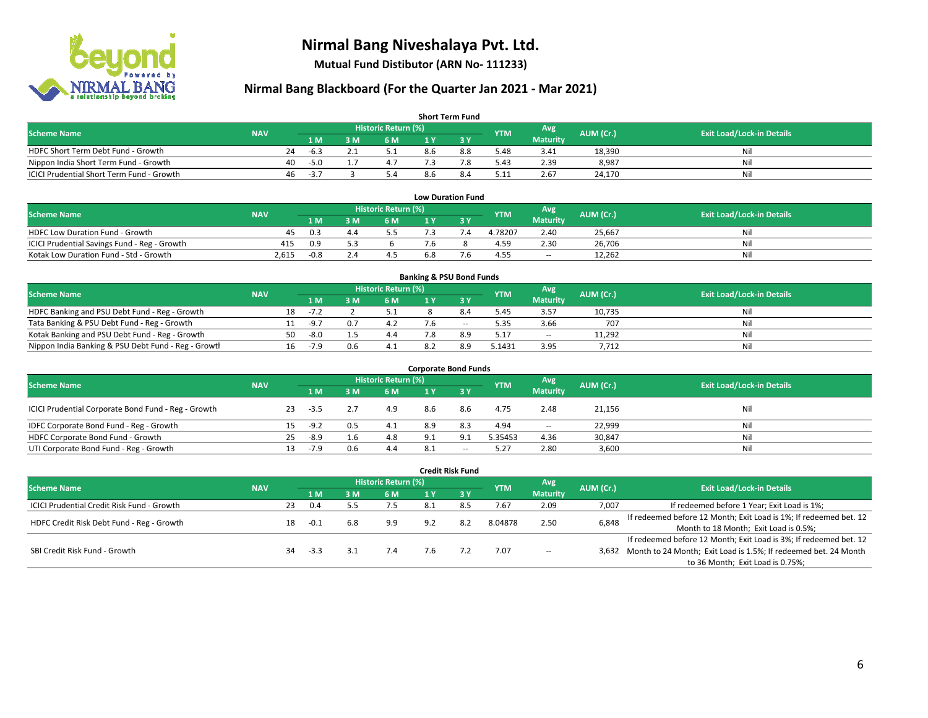

**Mutual Fund Distibutor (ARN No- 111233)**

| <b>Short Term Fund</b>                           |            |    |                |     |                            |     |     |            |                  |           |                                  |  |  |
|--------------------------------------------------|------------|----|----------------|-----|----------------------------|-----|-----|------------|------------------|-----------|----------------------------------|--|--|
| <b>Scheme Name</b>                               | <b>NAV</b> |    |                |     | <b>Historic Return (%)</b> |     |     | <b>YTM</b> | Avg <sup>1</sup> | AUM (Cr.) | <b>Exit Load/Lock-in Details</b> |  |  |
|                                                  |            |    | 1 <sub>M</sub> | 3 M | 6 M                        |     |     |            | <b>Maturity</b>  |           |                                  |  |  |
| HDFC Short Term Debt Fund - Growth               |            | 24 | $-6.3$         |     | 5.1                        | 8.6 | 8.8 | 5.48       | 3.41             | 18,390    | Ni                               |  |  |
| Nippon India Short Term Fund - Growth            |            | 40 | $-5.0$         |     | 4.7                        |     | 7.8 | 5.43       | 2.39             | 8,987     | Ni                               |  |  |
| <b>ICICI Prudential Short Term Fund - Growth</b> |            | 46 | $-3.7$         |     | 5.4                        | 8.6 | 8.4 | 5.11       | 2.67             | 24,170    | Nil                              |  |  |

| <b>Low Duration Fund</b>                     |            |        |    |                      |                |  |            |                 |           |                                  |  |  |  |  |
|----------------------------------------------|------------|--------|----|----------------------|----------------|--|------------|-----------------|-----------|----------------------------------|--|--|--|--|
| <b>Scheme Name</b>                           | <b>NAV</b> |        |    | Historic Return (%)' |                |  | <b>YTM</b> | Avg             | AUM (Cr.) | <b>Exit Load/Lock-in Details</b> |  |  |  |  |
|                                              |            | 1 M    | ١M | 6 M                  |                |  |            | <b>Maturity</b> |           |                                  |  |  |  |  |
| <b>HDFC Low Duration Fund - Growth</b>       | 45         | 0.3    |    |                      |                |  | 4.78207    | 2.40            | 25.667    | Nil                              |  |  |  |  |
| ICICI Prudential Savings Fund - Reg - Growth | 415        | 0.9    |    |                      | $^{\prime}$ .6 |  | 4.59       | 2.30            | 26,706    | Nil                              |  |  |  |  |
| Kotak Low Duration Fund - Std - Growth       | 2,615      | $-0.8$ |    |                      | 6.8            |  | 4.55       | $\sim$          | 12,262    | Nil                              |  |  |  |  |

| <b>Banking &amp; PSU Bond Funds</b>                 |            |    |        |     |                            |  |        |            |                 |           |                                  |  |  |  |
|-----------------------------------------------------|------------|----|--------|-----|----------------------------|--|--------|------------|-----------------|-----------|----------------------------------|--|--|--|
| <b>Scheme Name</b>                                  | <b>NAV</b> |    |        |     | <b>Historic Return (%)</b> |  |        | <b>YTM</b> | Avg             | AUM (Cr.) | <b>Exit Load/Lock-in Details</b> |  |  |  |
|                                                     |            |    | '1 M   | M   | 6 M                        |  |        |            | <b>Maturity</b> |           |                                  |  |  |  |
| HDFC Banking and PSU Debt Fund - Reg - Growth       |            | 18 | -7.2   |     |                            |  | 84     | 5.45       | 3.57            | 10.735    | Nil                              |  |  |  |
| Tata Banking & PSU Debt Fund - Reg - Growth         |            |    | $-9.7$ |     | 4.2                        |  | $\sim$ | 5.35       | 3.66            | 707       | Nil                              |  |  |  |
| Kotak Banking and PSU Debt Fund - Reg - Growth      |            | 50 | -8.0   |     | 4.4                        |  | 8.9    | 5.17       | $\sim$          | 11,292    | Nil                              |  |  |  |
| Nippon India Banking & PSU Debt Fund - Reg - Growth |            | 16 | $-7.9$ | 0.6 | -4.1                       |  | 8.9    | 5.1431     | 3.95            | 7,712     | Nil                              |  |  |  |

| <b>Corporate Bond Funds</b>                         |            |    |      |     |                            |     |                          |            |                 |           |                                  |  |  |  |
|-----------------------------------------------------|------------|----|------|-----|----------------------------|-----|--------------------------|------------|-----------------|-----------|----------------------------------|--|--|--|
| <b>Scheme Name</b>                                  | <b>NAV</b> |    |      |     | <b>Historic Return (%)</b> |     |                          | <b>YTM</b> | Avg             | AUM (Cr.) | <b>Exit Load/Lock-in Details</b> |  |  |  |
|                                                     |            |    | 1 M  | M   | 6 M                        | 1 Y | 73 Y                     |            | <b>Maturity</b> |           |                                  |  |  |  |
| ICICI Prudential Corporate Bond Fund - Reg - Growth |            | 23 | -3.5 |     | 4.9                        | 8.6 | 8.6                      | 4.75       | 2.48            | 21,156    | Nil                              |  |  |  |
| IDFC Corporate Bond Fund - Reg - Growth             |            |    | -9.2 | 0.5 | 4.1                        | 8.9 | 8.3                      | 4.94       | $\sim$          | 22,999    | Nil                              |  |  |  |
| HDFC Corporate Bond Fund - Growth                   |            | 25 | -8.9 |     | 4.8                        | 9.1 | 9.1                      | 5.35453    | 4.36            | 30,847    | Nil                              |  |  |  |
| UTI Corporate Bond Fund - Reg - Growth              |            |    | -7.9 | 0.6 | 4.4                        | 8.1 | $\overline{\phantom{a}}$ | 5.27       | 2.80            | 3,600     | Nil                              |  |  |  |

| <b>Credit Risk Fund</b>                           |            |    |        |     |                            |      |         |            |                        |           |                                                                       |
|---------------------------------------------------|------------|----|--------|-----|----------------------------|------|---------|------------|------------------------|-----------|-----------------------------------------------------------------------|
| <b>Scheme Name</b>                                | <b>NAV</b> |    |        |     | <b>Historic Return (%)</b> |      |         | <b>YTM</b> | Avg<br><b>Maturity</b> | AUM (Cr.) | <b>Exit Load/Lock-in Details</b>                                      |
|                                                   |            |    | 1 M    | 8 M | 6 M                        | 1 Y  | $Z_3$ Y |            |                        |           |                                                                       |
| <b>ICICI Prudential Credit Risk Fund - Growth</b> |            | 23 | 0.4    |     | 7.5                        | -8.1 | 8.5     | 7.67       | 2.09                   | 7,007     | If redeemed before 1 Year; Exit Load is 1%;                           |
| HDFC Credit Risk Debt Fund - Reg - Growth         |            | 18 | $-0.1$ | 6.8 | 9.9                        | 9.2  | 8.2     | 8.04878    | 2.50                   | 6,848     | If redeemed before 12 Month; Exit Load is 1%; If redeemed bet. 12     |
|                                                   |            |    |        |     |                            |      |         |            |                        |           | Month to 18 Month; Exit Load is 0.5%;                                 |
|                                                   |            |    |        |     |                            |      |         |            |                        |           | If redeemed before 12 Month; Exit Load is 3%; If redeemed bet. 12     |
| SBI Credit Risk Fund - Growth                     |            | 34 | -3.3   |     | 7.4                        | 7.6  |         | 7.07       | $\sim$                 |           | 3,632 Month to 24 Month; Exit Load is 1.5%; If redeemed bet. 24 Month |
|                                                   |            |    |        |     |                            |      |         |            |                        |           | to 36 Month; Exit Load is 0.75%;                                      |